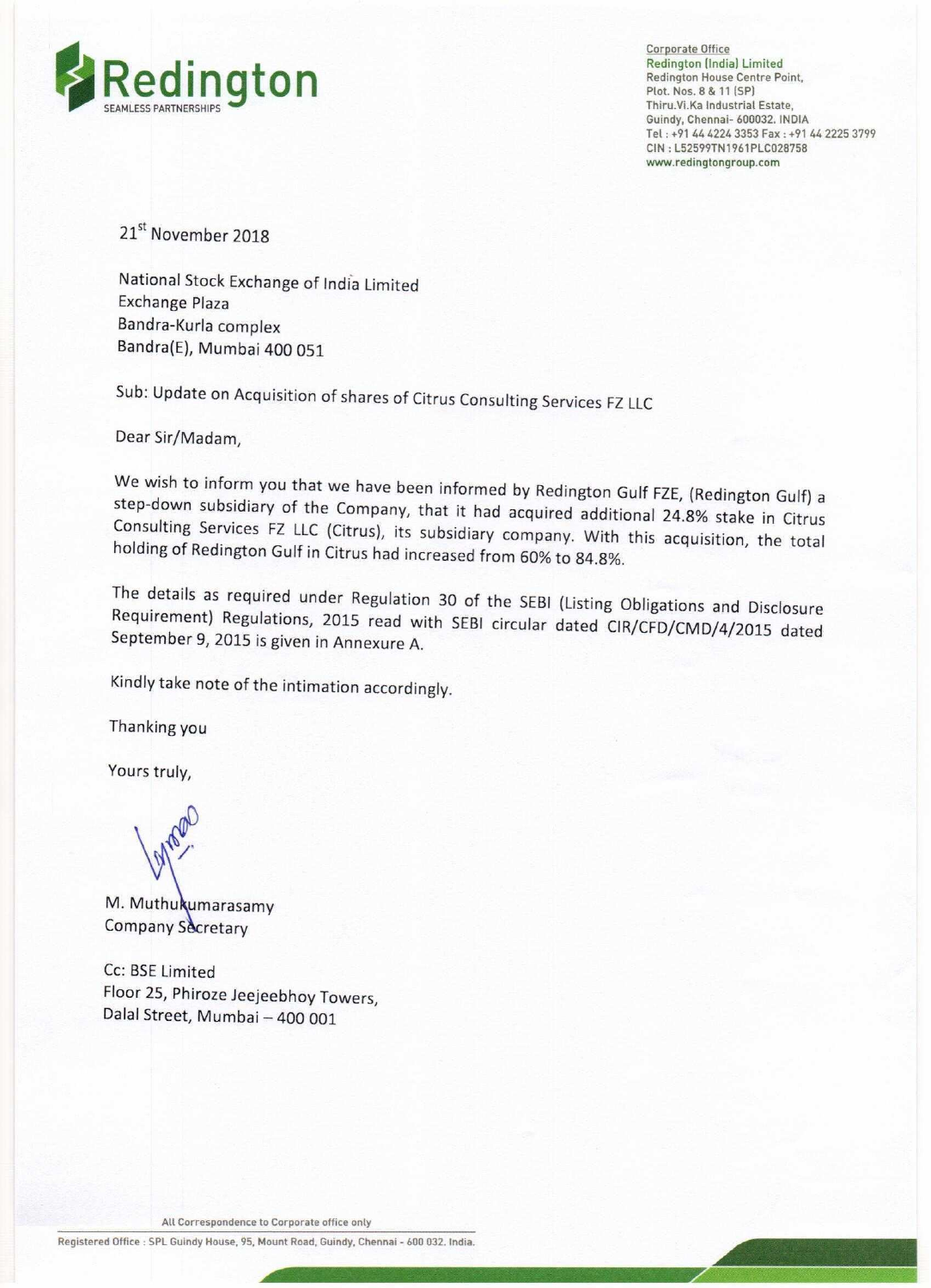

Corporate Office Redington (India) Limited<br>Redington House Centre Point, Thiru.Vi.Ka Industrial Estate, Guindy, Chennai- 600032. INDIA Tel: +91 44 4224 3353 Fax: +91 44 2225 3799 CIN : L52599TN'I961PLC028758 www,redingtongroup,com

\_

21<sup>st</sup> November 2018

National Stock Exchange of India Limited Exchange Plaza Bandra-Kurla complex Bandra(E), Mumbai 400 051

Sub: Update on Acquisition of shares of Citrus Consulting Services FZ LLC

Dear Sir/Madam,

We wish to inform you that we have been informed by Redington Gulf FZE, (Redington Gulf) a<br>step-down subsidiary of the Company, that it had acquired additional 24.8% stake in Citrus Consulting Services FZ LLC (Citrus), its subsidiary company. With this acquisition, the total holding of Redington Gulf in Citrus had increased from 60% to 84.8%.

The details as required under Regulation <sup>30</sup> of the SEBl (Listing Obligations and Disclosure Requirement) Regulations, <sup>2015</sup> read with SEBl circular dated ClR/CFD/CMD/4/2015 dated September 9, <sup>2015</sup> is given in Annexure A.

Kindly take note of the intimation accordingly.

Thanking you

Yours truly,

M. Muthukumarasamy Company Secretary

Cc: BSE Limited Floor 25, Phiroze Jeejeebhoy Towers, Dalal Street, Mumbai — 400 001